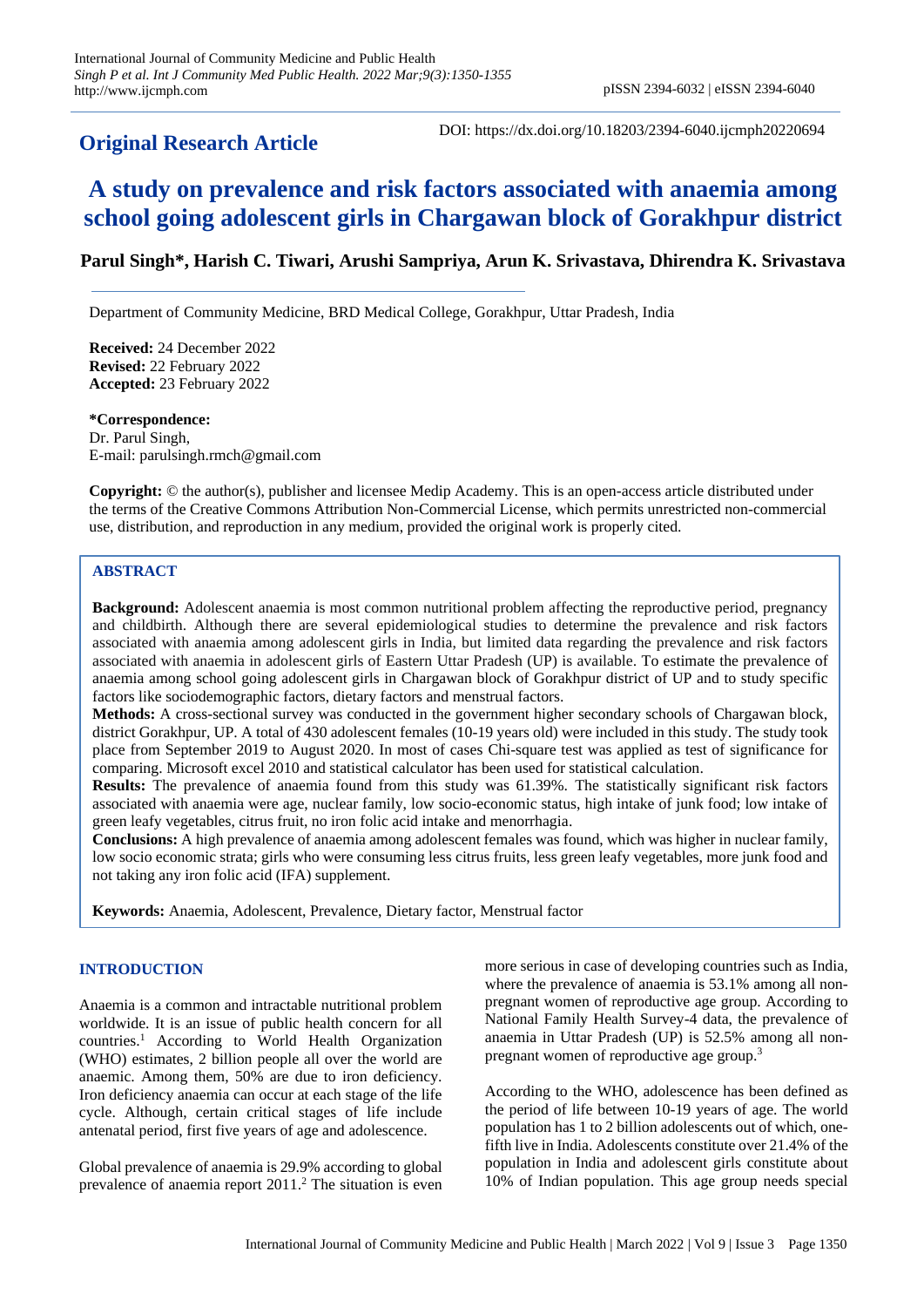## **Original Research Article**

DOI: https://dx.doi.org/10.18203/2394-6040.ijcmph20220694

# **A study on prevalence and risk factors associated with anaemia among school going adolescent girls in Chargawan block of Gorakhpur district**

## **Parul Singh\*, Harish C. Tiwari, Arushi Sampriya, Arun K. Srivastava, Dhirendra K. Srivastava**

Department of Community Medicine, BRD Medical College, Gorakhpur, Uttar Pradesh, India

**Received:** 24 December 2022 **Revised:** 22 February 2022 **Accepted:** 23 February 2022

**\*Correspondence:** Dr. Parul Singh, E-mail: parulsingh.rmch@gmail.com

**Copyright:** © the author(s), publisher and licensee Medip Academy. This is an open-access article distributed under the terms of the Creative Commons Attribution Non-Commercial License, which permits unrestricted non-commercial use, distribution, and reproduction in any medium, provided the original work is properly cited.

## **ABSTRACT**

**Background:** Adolescent anaemia is most common nutritional problem affecting the reproductive period, pregnancy and childbirth. Although there are several epidemiological studies to determine the prevalence and risk factors associated with anaemia among adolescent girls in India, but limited data regarding the prevalence and risk factors associated with anaemia in adolescent girls of Eastern Uttar Pradesh (UP) is available. To estimate the prevalence of anaemia among school going adolescent girls in Chargawan block of Gorakhpur district of UP and to study specific factors like sociodemographic factors, dietary factors and menstrual factors.

**Methods:** A cross-sectional survey was conducted in the government higher secondary schools of Chargawan block, district Gorakhpur, UP. A total of 430 adolescent females (10-19 years old) were included in this study. The study took place from September 2019 to August 2020. In most of cases Chi-square test was applied as test of significance for comparing. Microsoft excel 2010 and statistical calculator has been used for statistical calculation.

**Results:** The prevalence of anaemia found from this study was 61.39%. The statistically significant risk factors associated with anaemia were age, nuclear family, low socio-economic status, high intake of junk food; low intake of green leafy vegetables, citrus fruit, no iron folic acid intake and menorrhagia.

**Conclusions:** A high prevalence of anaemia among adolescent females was found, which was higher in nuclear family, low socio economic strata; girls who were consuming less citrus fruits, less green leafy vegetables, more junk food and not taking any iron folic acid (IFA) supplement.

**Keywords:** Anaemia, Adolescent, Prevalence, Dietary factor, Menstrual factor

#### **INTRODUCTION**

Anaemia is a common and intractable nutritional problem worldwide. It is an issue of public health concern for all countries.<sup>1</sup> According to World Health Organization (WHO) estimates, 2 billion people all over the world are anaemic. Among them, 50% are due to iron deficiency. Iron deficiency anaemia can occur at each stage of the life cycle. Although, certain critical stages of life include antenatal period, first five years of age and adolescence.

Global prevalence of anaemia is 29.9% according to global prevalence of anaemia report 2011. <sup>2</sup> The situation is even

more serious in case of developing countries such as India, where the prevalence of anaemia is 53.1% among all nonpregnant women of reproductive age group. According to National Family Health Survey-4 data, the prevalence of anaemia in Uttar Pradesh (UP) is 52.5% among all nonpregnant women of reproductive age group. 3

According to the WHO, adolescence has been defined as the period of life between 10-19 years of age. The world population has 1 to 2 billion adolescents out of which, onefifth live in India. Adolescents constitute over 21.4% of the population in India and adolescent girls constitute about 10% of Indian population. This age group needs special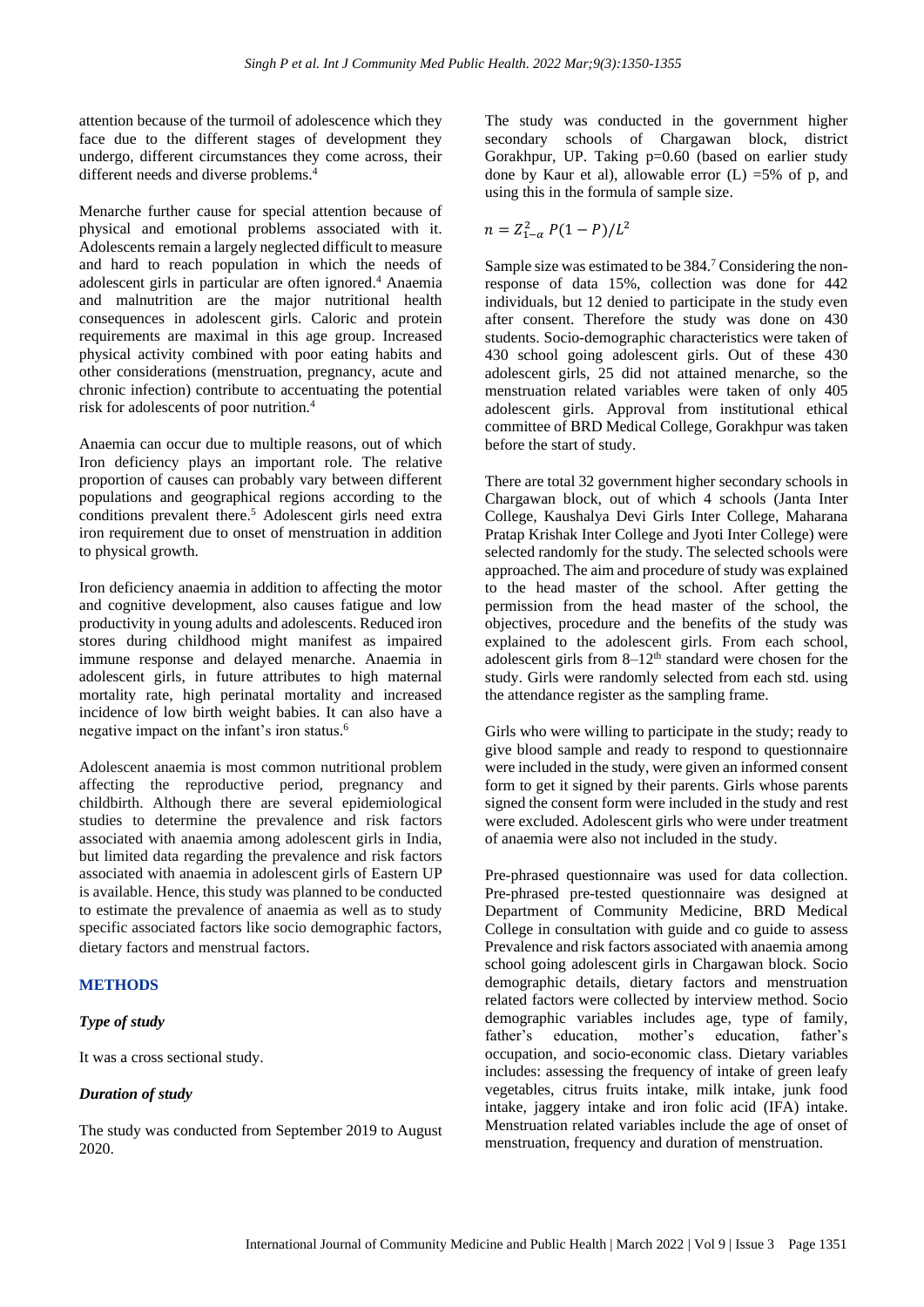attention because of the turmoil of adolescence which they face due to the different stages of development they undergo, different circumstances they come across, their different needs and diverse problems. 4

Menarche further cause for special attention because of physical and emotional problems associated with it. Adolescents remain a largely neglected difficult to measure and hard to reach population in which the needs of adolescent girls in particular are often ignored. <sup>4</sup> Anaemia and malnutrition are the major nutritional health consequences in adolescent girls. Caloric and protein requirements are maximal in this age group. Increased physical activity combined with poor eating habits and other considerations (menstruation, pregnancy, acute and chronic infection) contribute to accentuating the potential risk for adolescents of poor nutrition. 4

Anaemia can occur due to multiple reasons, out of which Iron deficiency plays an important role. The relative proportion of causes can probably vary between different populations and geographical regions according to the conditions prevalent there. <sup>5</sup> Adolescent girls need extra iron requirement due to onset of menstruation in addition to physical growth.

Iron deficiency anaemia in addition to affecting the motor and cognitive development, also causes fatigue and low productivity in young adults and adolescents. Reduced iron stores during childhood might manifest as impaired immune response and delayed menarche. Anaemia in adolescent girls, in future attributes to high maternal mortality rate, high perinatal mortality and increased incidence of low birth weight babies. It can also have a negative impact on the infant's iron status. 6

Adolescent anaemia is most common nutritional problem affecting the reproductive period, pregnancy and childbirth. Although there are several epidemiological studies to determine the prevalence and risk factors associated with anaemia among adolescent girls in India, but limited data regarding the prevalence and risk factors associated with anaemia in adolescent girls of Eastern UP is available. Hence, this study was planned to be conducted to estimate the prevalence of anaemia as well as to study specific associated factors like socio demographic factors, dietary factors and menstrual factors.

#### **METHODS**

#### *Type of study*

It was a cross sectional study.

#### *Duration of study*

The study was conducted from September 2019 to August 2020.

The study was conducted in the government higher secondary schools of Chargawan block, district Gorakhpur, UP. Taking p=0.60 (based on earlier study done by Kaur et al), allowable error  $(L)$  =5% of p, and using this in the formula of sample size.

$$
n = Z_{1-\alpha}^2 P(1-P)/L^2
$$

Sample size was estimated to be 384.<sup>7</sup> Considering the nonresponse of data 15%, collection was done for 442 individuals, but 12 denied to participate in the study even after consent. Therefore the study was done on 430 students. Socio-demographic characteristics were taken of 430 school going adolescent girls. Out of these 430 adolescent girls, 25 did not attained menarche, so the menstruation related variables were taken of only 405 adolescent girls. Approval from institutional ethical committee of BRD Medical College, Gorakhpur was taken before the start of study.

There are total 32 government higher secondary schools in Chargawan block, out of which 4 schools (Janta Inter College, Kaushalya Devi Girls Inter College, Maharana Pratap Krishak Inter College and Jyoti Inter College) were selected randomly for the study. The selected schools were approached. The aim and procedure of study was explained to the head master of the school. After getting the permission from the head master of the school, the objectives, procedure and the benefits of the study was explained to the adolescent girls. From each school, adolescent girls from  $8-12<sup>th</sup>$  standard were chosen for the study. Girls were randomly selected from each std. using the attendance register as the sampling frame.

Girls who were willing to participate in the study; ready to give blood sample and ready to respond to questionnaire were included in the study, were given an informed consent form to get it signed by their parents. Girls whose parents signed the consent form were included in the study and rest were excluded. Adolescent girls who were under treatment of anaemia were also not included in the study.

Pre-phrased questionnaire was used for data collection. Pre-phrased pre-tested questionnaire was designed at Department of Community Medicine, BRD Medical College in consultation with guide and co guide to assess Prevalence and risk factors associated with anaemia among school going adolescent girls in Chargawan block. Socio demographic details, dietary factors and menstruation related factors were collected by interview method. Socio demographic variables includes age, type of family, father's education, mother's education, father's occupation, and socio-economic class. Dietary variables includes: assessing the frequency of intake of green leafy vegetables, citrus fruits intake, milk intake, junk food intake, jaggery intake and iron folic acid (IFA) intake. Menstruation related variables include the age of onset of menstruation, frequency and duration of menstruation.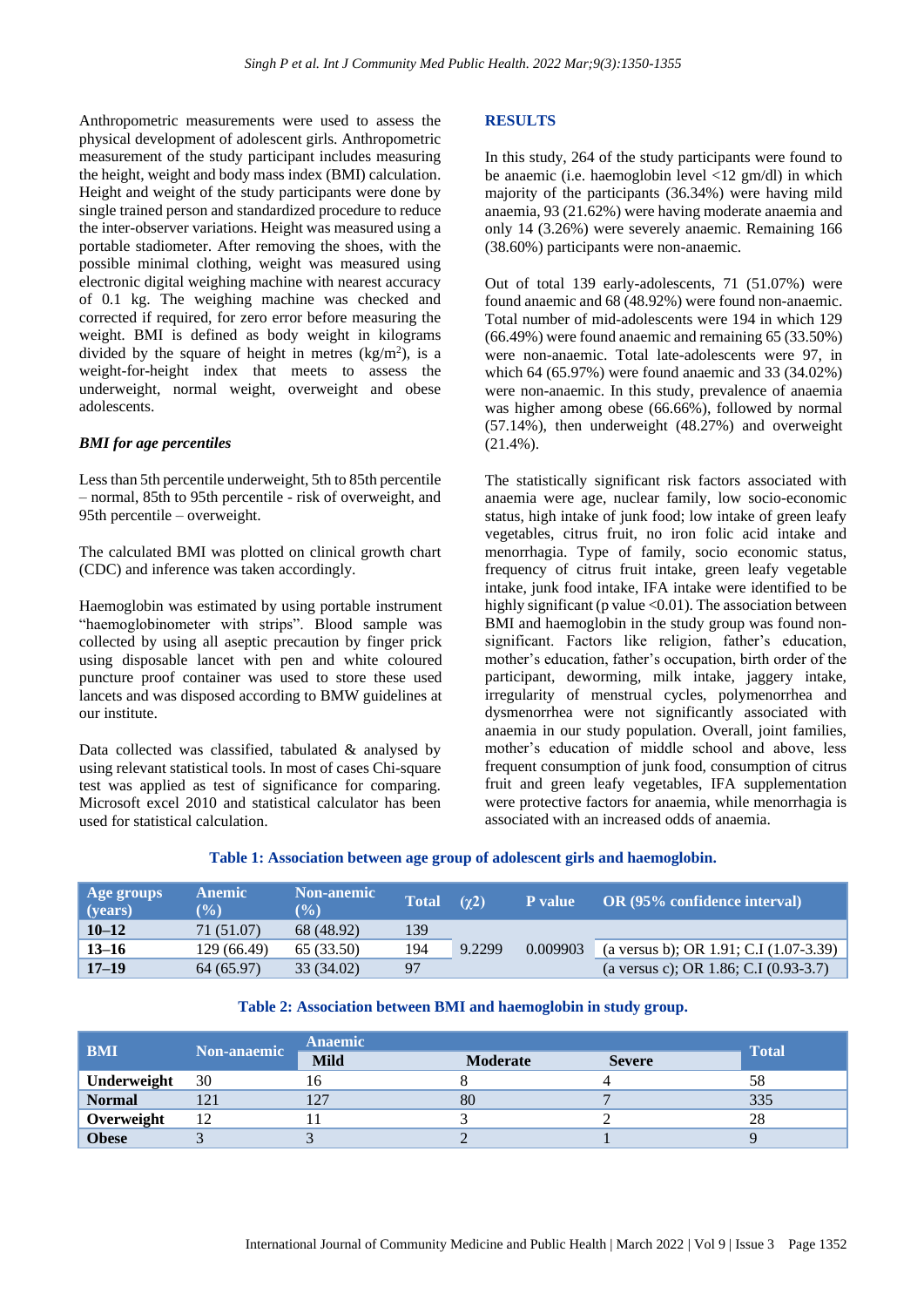Anthropometric measurements were used to assess the physical development of adolescent girls. Anthropometric measurement of the study participant includes measuring the height, weight and body mass index (BMI) calculation. Height and weight of the study participants were done by single trained person and standardized procedure to reduce the inter-observer variations. Height was measured using a portable stadiometer. After removing the shoes, with the possible minimal clothing, weight was measured using electronic digital weighing machine with nearest accuracy of 0.1 kg. The weighing machine was checked and corrected if required, for zero error before measuring the weight. BMI is defined as body weight in kilograms divided by the square of height in metres  $(kg/m<sup>2</sup>)$ , is a weight-for-height index that meets to assess the underweight, normal weight, overweight and obese adolescents.

#### *BMI for age percentiles*

Less than 5th percentile underweight, 5th to 85th percentile – normal, 85th to 95th percentile - risk of overweight, and 95th percentile – overweight.

The calculated BMI was plotted on clinical growth chart (CDC) and inference was taken accordingly.

Haemoglobin was estimated by using portable instrument "haemoglobinometer with strips". Blood sample was collected by using all aseptic precaution by finger prick using disposable lancet with pen and white coloured puncture proof container was used to store these used lancets and was disposed according to BMW guidelines at our institute.

Data collected was classified, tabulated & analysed by using relevant statistical tools. In most of cases Chi-square test was applied as test of significance for comparing. Microsoft excel 2010 and statistical calculator has been used for statistical calculation.

#### **RESULTS**

In this study, 264 of the study participants were found to be anaemic (i.e. haemoglobin level <12 gm/dl) in which majority of the participants (36.34%) were having mild anaemia, 93 (21.62%) were having moderate anaemia and only 14 (3.26%) were severely anaemic. Remaining 166 (38.60%) participants were non-anaemic.

Out of total 139 early-adolescents, 71 (51.07%) were found anaemic and 68 (48.92%) were found non-anaemic. Total number of mid-adolescents were 194 in which 129 (66.49%) were found anaemic and remaining 65 (33.50%) were non-anaemic. Total late-adolescents were 97, in which 64 (65.97%) were found anaemic and 33 (34.02%) were non-anaemic. In this study, prevalence of anaemia was higher among obese (66.66%), followed by normal (57.14%), then underweight (48.27%) and overweight (21.4%).

The statistically significant risk factors associated with anaemia were age, nuclear family, low socio-economic status, high intake of junk food; low intake of green leafy vegetables, citrus fruit, no iron folic acid intake and menorrhagia. Type of family, socio economic status, frequency of citrus fruit intake, green leafy vegetable intake, junk food intake, IFA intake were identified to be highly significant (p value  $\leq 0.01$ ). The association between BMI and haemoglobin in the study group was found nonsignificant. Factors like religion, father's education, mother's education, father's occupation, birth order of the participant, deworming, milk intake, jaggery intake, irregularity of menstrual cycles, polymenorrhea and dysmenorrhea were not significantly associated with anaemia in our study population. Overall, joint families, mother's education of middle school and above, less frequent consumption of junk food, consumption of citrus fruit and green leafy vegetables, IFA supplementation were protective factors for anaemia, while menorrhagia is associated with an increased odds of anaemia.

**Table 1: Association between age group of adolescent girls and haemoglobin.**

| Age groups<br>(years) | <b>Anemic</b><br>$\mathcal{O}(0)$ | <b>Non-anemic</b><br>$(\%)$ | <b>Total</b> | $(\gamma2)$ | P value  | <b>OR (95% confidence interval)</b>     |
|-----------------------|-----------------------------------|-----------------------------|--------------|-------------|----------|-----------------------------------------|
| $10 - 12$             | 71 (51.07)                        | 68 (48.92)                  | 139          |             |          |                                         |
| $13 - 16$             | 129 (66.49)                       | 65 (33.50)                  | 194          | 9.2299      | 0.009903 | (a versus b); OR 1.91; C.I (1.07-3.39)  |
| $17 - 19$             | 64 (65.97)                        | 33 (34.02)                  | 97           |             |          | (a versus c); OR 1.86; C.I $(0.93-3.7)$ |

#### **Table 2: Association between BMI and haemoglobin in study group.**

| <b>BMI</b>    | <b>Non-anaemic</b> | <b>Anaemic</b> |          |               |              |
|---------------|--------------------|----------------|----------|---------------|--------------|
|               |                    | <b>Mild</b>    | Moderate | <b>Severe</b> | <b>Total</b> |
| Underweight   | 30                 | 10             |          |               | 58           |
| <b>Normal</b> |                    | 197            | 80       |               | 335          |
| Overweight    | 12                 |                |          |               | 28           |
| <b>Obese</b>  |                    |                |          |               |              |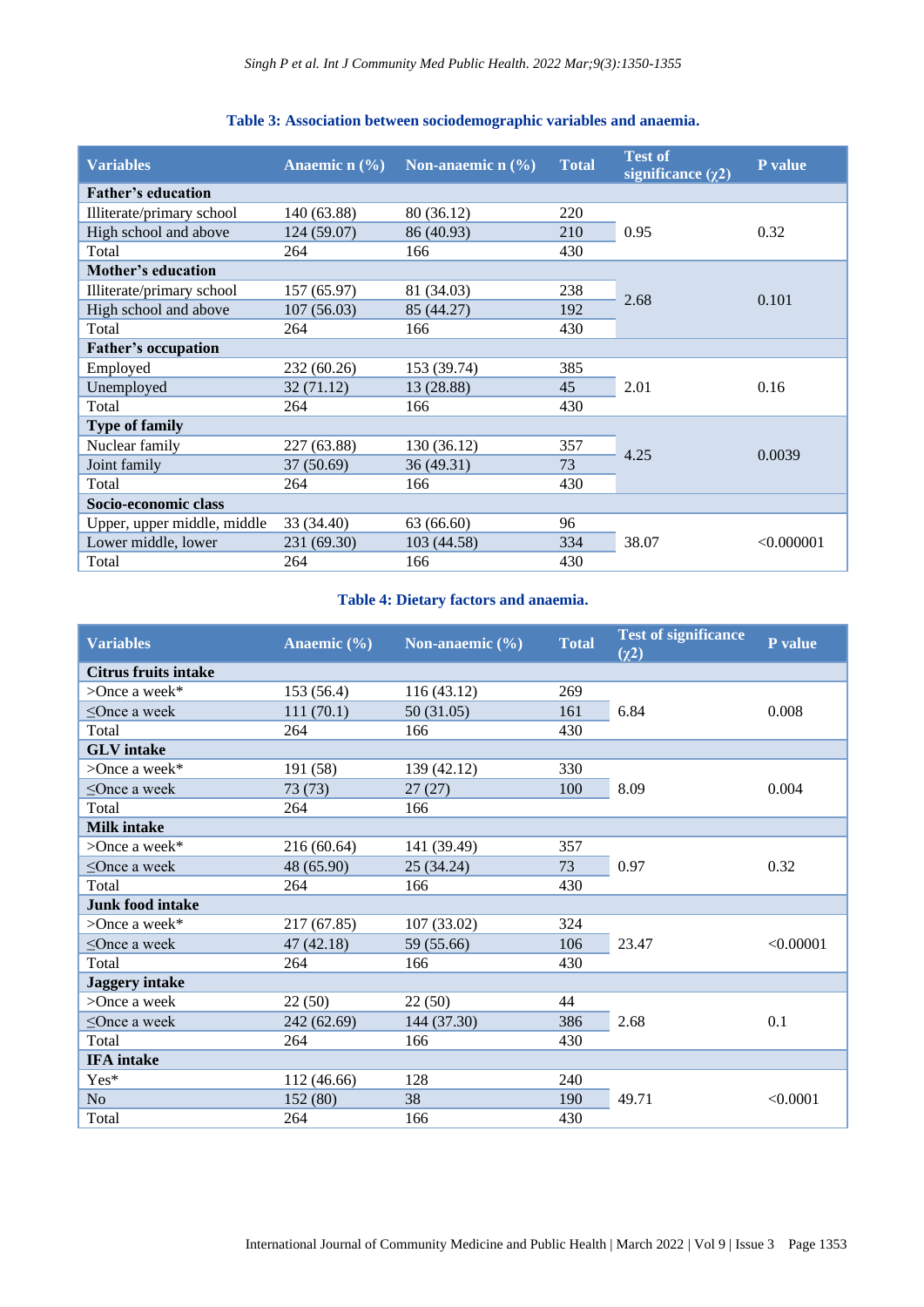| <b>Variables</b>            | Anaemic n $(\% )$ | Non-anaemic $n$ $(\frac{6}{6})$ | <b>Total</b> | <b>Test of</b><br>significance $(\chi^2)$ | P value    |
|-----------------------------|-------------------|---------------------------------|--------------|-------------------------------------------|------------|
| <b>Father's education</b>   |                   |                                 |              |                                           |            |
| Illiterate/primary school   | 140 (63.88)       | 80 (36.12)                      | 220          |                                           | 0.32       |
| High school and above       | 124 (59.07)       | 86 (40.93)                      | 210          | 0.95                                      |            |
| Total                       | 264               | 166                             | 430          |                                           |            |
| Mother's education          |                   |                                 |              |                                           |            |
| Illiterate/primary school   | 157 (65.97)       | 81 (34.03)                      | 238          | 2.68                                      | 0.101      |
| High school and above       | 107(56.03)        | 85 (44.27)                      | 192          |                                           |            |
| Total                       | 264               | 166                             | 430          |                                           |            |
| <b>Father's occupation</b>  |                   |                                 |              |                                           |            |
| Employed                    | 232 (60.26)       | 153 (39.74)                     | 385          |                                           | 0.16       |
| Unemployed                  | 32(71.12)         | 13 (28.88)                      | 45           | 2.01                                      |            |
| Total                       | 264               | 166                             | 430          |                                           |            |
| <b>Type of family</b>       |                   |                                 |              |                                           |            |
| Nuclear family              | 227 (63.88)       | 130 (36.12)                     | 357          | 4.25                                      | 0.0039     |
| Joint family                | 37(50.69)         | 36 (49.31)                      | 73           |                                           |            |
| Total                       | 264               | 166                             | 430          |                                           |            |
| Socio-economic class        |                   |                                 |              |                                           |            |
| Upper, upper middle, middle | 33 (34.40)        | 63(66.60)                       | 96           |                                           | < 0.000001 |
| Lower middle, lower         | 231 (69.30)       | 103 (44.58)                     | 334          | 38.07                                     |            |
| Total                       | 264               | 166                             | 430          |                                           |            |

## **Table 3: Association between sociodemographic variables and anaemia.**

#### **Table 4: Dietary factors and anaemia.**

| <b>Variables</b>            | Anaemic $(\% )$ | Non-anaemic $(\% )$ | <b>Total</b> | <b>Test of significance</b><br>$(\chi^2)$ | P value   |
|-----------------------------|-----------------|---------------------|--------------|-------------------------------------------|-----------|
| <b>Citrus fruits intake</b> |                 |                     |              |                                           |           |
| $\geq$ Once a week*         | 153(56.4)       | 116 (43.12)         | 269          |                                           | 0.008     |
| $\leq$ Once a week          | 111(70.1)       | 50 (31.05)          | 161          | 6.84                                      |           |
| Total                       | 264             | 166                 | 430          |                                           |           |
| <b>GLV</b> intake           |                 |                     |              |                                           |           |
| $\geq$ Once a week*         | 191 (58)        | 139 (42.12)         | 330          |                                           | 0.004     |
| $\leq$ Once a week          | 73(73)          | 27(27)              | 100          | 8.09                                      |           |
| Total                       | 264             | 166                 |              |                                           |           |
| <b>Milk intake</b>          |                 |                     |              |                                           |           |
| $\geq$ Once a week*         | 216 (60.64)     | 141 (39.49)         | 357          |                                           | 0.32      |
| $\leq$ Once a week          | 48 (65.90)      | 25 (34.24)          | 73           | 0.97                                      |           |
| Total                       | 264             | 166                 | 430          |                                           |           |
| <b>Junk food intake</b>     |                 |                     |              |                                           |           |
| $\geq$ Once a week*         | 217 (67.85)     | 107 (33.02)         | 324          |                                           | < 0.00001 |
| $\leq$ Once a week          | 47(42.18)       | 59 (55.66)          | 106          | 23.47                                     |           |
| Total                       | 264             | 166                 | 430          |                                           |           |
| <b>Jaggery</b> intake       |                 |                     |              |                                           |           |
| $>$ Once a week             | 22(50)          | 22(50)              | 44           |                                           | 0.1       |
| $\leq$ Once a week          | 242 (62.69)     | 144 (37.30)         | 386          | 2.68                                      |           |
| Total                       | 264             | 166                 | 430          |                                           |           |
| <b>IFA</b> intake           |                 |                     |              |                                           |           |
| Yes*                        | 112 (46.66)     | 128                 | 240          |                                           | < 0.0001  |
| N <sub>o</sub>              | 152 (80)        | 38                  | 190          | 49.71                                     |           |
| Total                       | 264             | 166                 | 430          |                                           |           |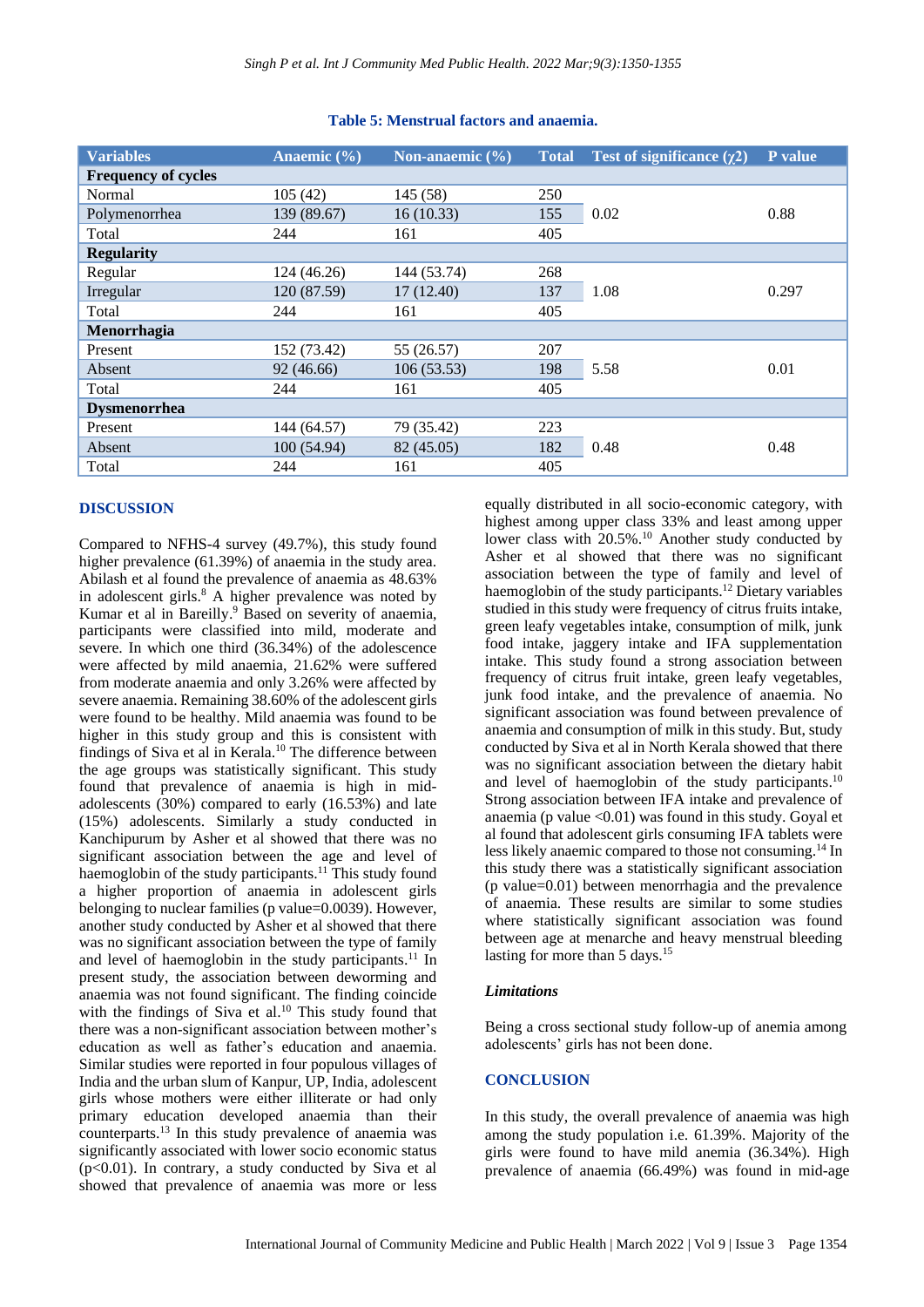| <b>Variables</b>           | Anaemic $(\% )$ | Non-anaemic $(\% )$ | <b>Total</b> | Test of significance $(\gamma 2)$ | <b>P</b> value |
|----------------------------|-----------------|---------------------|--------------|-----------------------------------|----------------|
| <b>Frequency of cycles</b> |                 |                     |              |                                   |                |
| Normal                     | 105(42)         | 145 (58)            | 250          |                                   |                |
| Polymenorrhea              | 139 (89.67)     | 16(10.33)           | 155          | 0.02                              | 0.88           |
| Total                      | 244             | 161                 | 405          |                                   |                |
| <b>Regularity</b>          |                 |                     |              |                                   |                |
| Regular                    | 124 (46.26)     | 144 (53.74)         | 268          |                                   | 0.297          |
| Irregular                  | 120 (87.59)     | 17(12.40)           | 137          | 1.08                              |                |
| Total                      | 244             | 161                 | 405          |                                   |                |
| Menorrhagia                |                 |                     |              |                                   |                |
| Present                    | 152 (73.42)     | 55 (26.57)          | 207          |                                   | 0.01           |
| Absent                     | 92 (46.66)      | 106(53.53)          | 198          | 5.58                              |                |
| Total                      | 244             | 161                 | 405          |                                   |                |
| <b>Dysmenorrhea</b>        |                 |                     |              |                                   |                |
| Present                    | 144 (64.57)     | 79 (35.42)          | 223          |                                   | 0.48           |
| Absent                     | 100(54.94)      | 82 (45.05)          | 182          | 0.48                              |                |
| Total                      | 244             | 161                 | 405          |                                   |                |

#### **Table 5: Menstrual factors and anaemia.**

## **DISCUSSION**

Compared to NFHS-4 survey (49.7%), this study found higher prevalence (61.39%) of anaemia in the study area. Abilash et al found the prevalence of anaemia as 48.63% in adolescent girls. <sup>8</sup> A higher prevalence was noted by Kumar et al in Bareilly. <sup>9</sup> Based on severity of anaemia, participants were classified into mild, moderate and severe. In which one third (36.34%) of the adolescence were affected by mild anaemia, 21.62% were suffered from moderate anaemia and only 3.26% were affected by severe anaemia. Remaining 38.60% of the adolescent girls were found to be healthy. Mild anaemia was found to be higher in this study group and this is consistent with findings of Siva et al in Kerala. <sup>10</sup> The difference between the age groups was statistically significant. This study found that prevalence of anaemia is high in midadolescents (30%) compared to early (16.53%) and late (15%) adolescents. Similarly a study conducted in Kanchipurum by Asher et al showed that there was no significant association between the age and level of haemoglobin of the study participants.<sup>11</sup> This study found a higher proportion of anaemia in adolescent girls belonging to nuclear families (p value=0.0039). However, another study conducted by Asher et al showed that there was no significant association between the type of family and level of haemoglobin in the study participants.<sup>11</sup> In present study, the association between deworming and anaemia was not found significant. The finding coincide with the findings of Siva et al.<sup>10</sup> This study found that there was a non-significant association between mother's education as well as father's education and anaemia. Similar studies were reported in four populous villages of India and the urban slum of Kanpur, UP, India, adolescent girls whose mothers were either illiterate or had only primary education developed anaemia than their counterparts. <sup>13</sup> In this study prevalence of anaemia was significantly associated with lower socio economic status  $(p<0.01)$ . In contrary, a study conducted by Siva et all showed that prevalence of anaemia was more or less

equally distributed in all socio-economic category, with highest among upper class 33% and least among upper lower class with 20.5%. <sup>10</sup> Another study conducted by Asher et al showed that there was no significant association between the type of family and level of haemoglobin of the study participants. <sup>12</sup> Dietary variables studied in this study were frequency of citrus fruits intake, green leafy vegetables intake, consumption of milk, junk food intake, jaggery intake and IFA supplementation intake. This study found a strong association between frequency of citrus fruit intake, green leafy vegetables, junk food intake, and the prevalence of anaemia. No significant association was found between prevalence of anaemia and consumption of milk in this study. But, study conducted by Siva et al in North Kerala showed that there was no significant association between the dietary habit and level of haemoglobin of the study participants.<sup>10</sup> Strong association between IFA intake and prevalence of anaemia (p value  $\leq 0.01$ ) was found in this study. Goyal et al found that adolescent girls consuming IFA tablets were less likely anaemic compared to those not consuming. <sup>14</sup> In this study there was a statistically significant association (p value=0.01) between menorrhagia and the prevalence of anaemia. These results are similar to some studies where statistically significant association was found between age at menarche and heavy menstrual bleeding lasting for more than 5 days. 15

#### *Limitations*

Being a cross sectional study follow-up of anemia among adolescents' girls has not been done.

## **CONCLUSION**

In this study, the overall prevalence of anaemia was high among the study population i.e. 61.39%. Majority of the girls were found to have mild anemia (36.34%). High prevalence of anaemia (66.49%) was found in mid-age